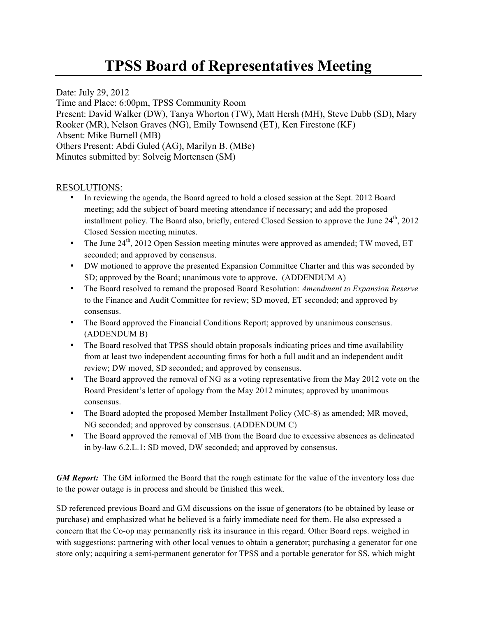# **TPSS Board of Representatives Meeting**

Date: July 29, 2012 Time and Place: 6:00pm, TPSS Community Room Present: David Walker (DW), Tanya Whorton (TW), Matt Hersh (MH), Steve Dubb (SD), Mary Rooker (MR), Nelson Graves (NG), Emily Townsend (ET), Ken Firestone (KF) Absent: Mike Burnell (MB) Others Present: Abdi Guled (AG), Marilyn B. (MBe) Minutes submitted by: Solveig Mortensen (SM)

#### RESOLUTIONS:

- In reviewing the agenda, the Board agreed to hold a closed session at the Sept. 2012 Board meeting; add the subject of board meeting attendance if necessary; and add the proposed installment policy. The Board also, briefly, entered Closed Session to approve the June  $24<sup>th</sup>$ ,  $2012$ Closed Session meeting minutes.
- The June  $24<sup>th</sup>$ , 2012 Open Session meeting minutes were approved as amended; TW moved, ET seconded; and approved by consensus.
- DW motioned to approve the presented Expansion Committee Charter and this was seconded by SD; approved by the Board; unanimous vote to approve. (ADDENDUM A)
- The Board resolved to remand the proposed Board Resolution: *Amendment to Expansion Reserve* to the Finance and Audit Committee for review; SD moved, ET seconded; and approved by consensus.
- The Board approved the Financial Conditions Report; approved by unanimous consensus. (ADDENDUM B)
- The Board resolved that TPSS should obtain proposals indicating prices and time availability from at least two independent accounting firms for both a full audit and an independent audit review; DW moved, SD seconded; and approved by consensus.
- The Board approved the removal of NG as a voting representative from the May 2012 vote on the Board President's letter of apology from the May 2012 minutes; approved by unanimous consensus.
- The Board adopted the proposed Member Installment Policy (MC-8) as amended; MR moved, NG seconded; and approved by consensus. (ADDENDUM C)
- The Board approved the removal of MB from the Board due to excessive absences as delineated in by-law 6.2.L.1; SD moved, DW seconded; and approved by consensus.

*GM Report:* The GM informed the Board that the rough estimate for the value of the inventory loss due to the power outage is in process and should be finished this week.

SD referenced previous Board and GM discussions on the issue of generators (to be obtained by lease or purchase) and emphasized what he believed is a fairly immediate need for them. He also expressed a concern that the Co-op may permanently risk its insurance in this regard. Other Board reps. weighed in with suggestions: partnering with other local venues to obtain a generator; purchasing a generator for one store only; acquiring a semi-permanent generator for TPSS and a portable generator for SS, which might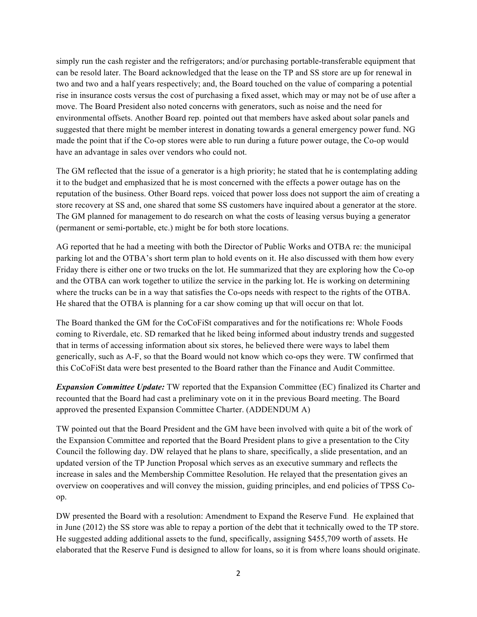simply run the cash register and the refrigerators; and/or purchasing portable-transferable equipment that can be resold later. The Board acknowledged that the lease on the TP and SS store are up for renewal in two and two and a half years respectively; and, the Board touched on the value of comparing a potential rise in insurance costs versus the cost of purchasing a fixed asset, which may or may not be of use after a move. The Board President also noted concerns with generators, such as noise and the need for environmental offsets. Another Board rep. pointed out that members have asked about solar panels and suggested that there might be member interest in donating towards a general emergency power fund. NG made the point that if the Co-op stores were able to run during a future power outage, the Co-op would have an advantage in sales over vendors who could not.

The GM reflected that the issue of a generator is a high priority; he stated that he is contemplating adding it to the budget and emphasized that he is most concerned with the effects a power outage has on the reputation of the business. Other Board reps. voiced that power loss does not support the aim of creating a store recovery at SS and, one shared that some SS customers have inquired about a generator at the store. The GM planned for management to do research on what the costs of leasing versus buying a generator (permanent or semi-portable, etc.) might be for both store locations.

AG reported that he had a meeting with both the Director of Public Works and OTBA re: the municipal parking lot and the OTBA's short term plan to hold events on it. He also discussed with them how every Friday there is either one or two trucks on the lot. He summarized that they are exploring how the Co-op and the OTBA can work together to utilize the service in the parking lot. He is working on determining where the trucks can be in a way that satisfies the Co-ops needs with respect to the rights of the OTBA. He shared that the OTBA is planning for a car show coming up that will occur on that lot.

The Board thanked the GM for the CoCoFiSt comparatives and for the notifications re: Whole Foods coming to Riverdale, etc. SD remarked that he liked being informed about industry trends and suggested that in terms of accessing information about six stores, he believed there were ways to label them generically, such as A-F, so that the Board would not know which co-ops they were. TW confirmed that this CoCoFiSt data were best presented to the Board rather than the Finance and Audit Committee.

*Expansion Committee Update:* TW reported that the Expansion Committee (EC) finalized its Charter and recounted that the Board had cast a preliminary vote on it in the previous Board meeting. The Board approved the presented Expansion Committee Charter. (ADDENDUM A)

TW pointed out that the Board President and the GM have been involved with quite a bit of the work of the Expansion Committee and reported that the Board President plans to give a presentation to the City Council the following day. DW relayed that he plans to share, specifically, a slide presentation, and an updated version of the TP Junction Proposal which serves as an executive summary and reflects the increase in sales and the Membership Committee Resolution. He relayed that the presentation gives an overview on cooperatives and will convey the mission, guiding principles, and end policies of TPSS Coop.

DW presented the Board with a resolution: Amendment to Expand the Reserve Fund. He explained that in June (2012) the SS store was able to repay a portion of the debt that it technically owed to the TP store. He suggested adding additional assets to the fund, specifically, assigning \$455,709 worth of assets. He elaborated that the Reserve Fund is designed to allow for loans, so it is from where loans should originate.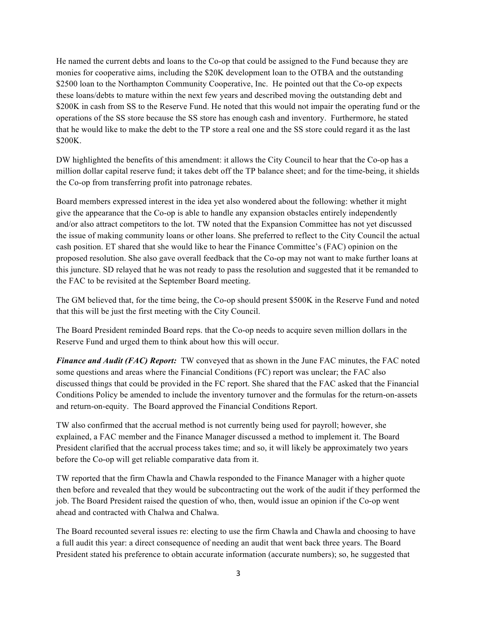He named the current debts and loans to the Co-op that could be assigned to the Fund because they are monies for cooperative aims, including the \$20K development loan to the OTBA and the outstanding \$2500 loan to the Northampton Community Cooperative, Inc. He pointed out that the Co-op expects these loans/debts to mature within the next few years and described moving the outstanding debt and \$200K in cash from SS to the Reserve Fund. He noted that this would not impair the operating fund or the operations of the SS store because the SS store has enough cash and inventory. Furthermore, he stated that he would like to make the debt to the TP store a real one and the SS store could regard it as the last \$200K.

DW highlighted the benefits of this amendment: it allows the City Council to hear that the Co-op has a million dollar capital reserve fund; it takes debt off the TP balance sheet; and for the time-being, it shields the Co-op from transferring profit into patronage rebates.

Board members expressed interest in the idea yet also wondered about the following: whether it might give the appearance that the Co-op is able to handle any expansion obstacles entirely independently and/or also attract competitors to the lot. TW noted that the Expansion Committee has not yet discussed the issue of making community loans or other loans. She preferred to reflect to the City Council the actual cash position. ET shared that she would like to hear the Finance Committee's (FAC) opinion on the proposed resolution. She also gave overall feedback that the Co-op may not want to make further loans at this juncture. SD relayed that he was not ready to pass the resolution and suggested that it be remanded to the FAC to be revisited at the September Board meeting.

The GM believed that, for the time being, the Co-op should present \$500K in the Reserve Fund and noted that this will be just the first meeting with the City Council.

The Board President reminded Board reps. that the Co-op needs to acquire seven million dollars in the Reserve Fund and urged them to think about how this will occur.

*Finance and Audit (FAC) Report:* TW conveyed that as shown in the June FAC minutes, the FAC noted some questions and areas where the Financial Conditions (FC) report was unclear; the FAC also discussed things that could be provided in the FC report. She shared that the FAC asked that the Financial Conditions Policy be amended to include the inventory turnover and the formulas for the return-on-assets and return-on-equity. The Board approved the Financial Conditions Report.

TW also confirmed that the accrual method is not currently being used for payroll; however, she explained, a FAC member and the Finance Manager discussed a method to implement it. The Board President clarified that the accrual process takes time; and so, it will likely be approximately two years before the Co-op will get reliable comparative data from it.

TW reported that the firm Chawla and Chawla responded to the Finance Manager with a higher quote then before and revealed that they would be subcontracting out the work of the audit if they performed the job. The Board President raised the question of who, then, would issue an opinion if the Co-op went ahead and contracted with Chalwa and Chalwa.

The Board recounted several issues re: electing to use the firm Chawla and Chawla and choosing to have a full audit this year: a direct consequence of needing an audit that went back three years. The Board President stated his preference to obtain accurate information (accurate numbers); so, he suggested that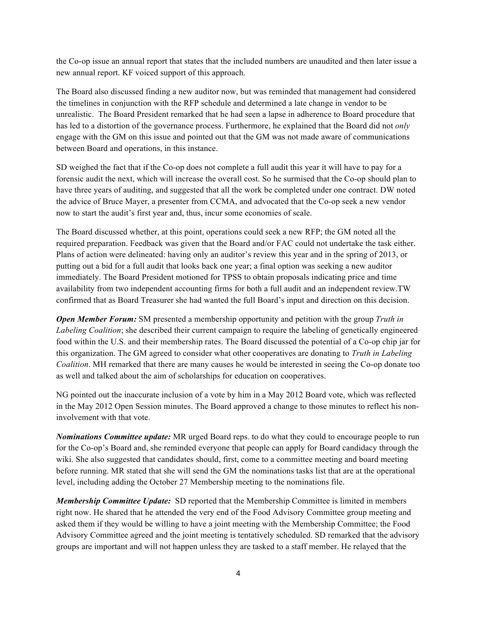the Co-op issue an annual report that states that the included numbers are unaudited and then later issue a new annual report. KF voiced support of this approach.

The Board also discussed finding a new auditor now, but was reminded that management had considered the timelines in conjunction with the RFP schedule and determined a late change in vendor to be unrealistic. The Board President remarked that he had seen a lapse in adherence to Board procedure that has led to a distortion of the governance process. Furthermore, he explained that the Board did not *only* engage with the GM on this issue and pointed out that the GM was not made aware of communications between Board and operations, in this instance.

SD weighed the fact that if the Co-op does not complete a full audit this year it will have to pay for a forensic audit the next, which will increase the overall cost. So he surmised that the Co-op should plan to have three years of auditing, and suggested that all the work be completed under one contract. DW noted the advice of Bruce Mayer, a presenter from CCMA, and advocated that the Co-op seek a new vendor now to start the audit's first year and, thus, incur some economies of scale.

The Board discussed whether, at this point, operations could seek a new RFP; the GM noted all the required preparation. Feedback was given that the Board and/or FAC could not undertake the task either. Plans of action were delineated: having only an auditor's review this year and in the spring of 2013, or putting out a bid for a full audit that looks back one year; a final option was seeking a new auditor immediately. The Board President motioned for TPSS to obtain proposals indicating price and time availability from two independent accounting firms for both a full audit and an independent review.TW confirmed that as Board Treasurer she had wanted the full Board's input and direction on this decision.

*Open Member Forum:* SM presented a membership opportunity and petition with the group *Truth in Labeling Coalition*; she described their current campaign to require the labeling of genetically engineered food within the U.S. and their membership rates. The Board discussed the potential of a Co-op chip jar for this organization. The GM agreed to consider what other cooperatives are donating to *Truth in Labeling Coalition*. MH remarked that there are many causes he would be interested in seeing the Co-op donate too as well and talked about the aim of scholarships for education on cooperatives.

NG pointed out the inaccurate inclusion of a vote by him in a May 2012 Board vote, which was reflected in the May 2012 Open Session minutes. The Board approved a change to those minutes to reflect his noninvolvement with that vote.

*Nominations Committee update:* MR urged Board reps. to do what they could to encourage people to run for the Co-op's Board and, she reminded everyone that people can apply for Board candidacy through the wiki. She also suggested that candidates should, first, come to a committee meeting and board meeting before running. MR stated that she will send the GM the nominations tasks list that are at the operational level, including adding the October 27 Membership meeting to the nominations file.

*Membership Committee Update:* SD reported that the Membership Committee is limited in members right now. He shared that he attended the very end of the Food Advisory Committee group meeting and asked them if they would be willing to have a joint meeting with the Membership Committee; the Food Advisory Committee agreed and the joint meeting is tentatively scheduled. SD remarked that the advisory groups are important and will not happen unless they are tasked to a staff member. He relayed that the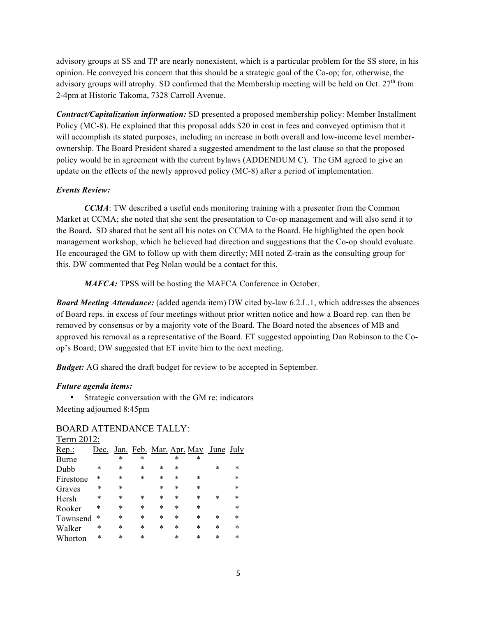advisory groups at SS and TP are nearly nonexistent, which is a particular problem for the SS store, in his opinion. He conveyed his concern that this should be a strategic goal of the Co-op; for, otherwise, the advisory groups will atrophy. SD confirmed that the Membership meeting will be held on Oct.  $27<sup>th</sup>$  from 2-4pm at Historic Takoma, 7328 Carroll Avenue.

*Contract/Capitalization information:* SD presented a proposed membership policy: Member Installment Policy (MC-8). He explained that this proposal adds \$20 in cost in fees and conveyed optimism that it will accomplish its stated purposes, including an increase in both overall and low-income level memberownership. The Board President shared a suggested amendment to the last clause so that the proposed policy would be in agreement with the current bylaws (ADDENDUM C). The GM agreed to give an update on the effects of the newly approved policy (MC-8) after a period of implementation.

#### *Events Review:*

*CCMA*: TW described a useful ends monitoring training with a presenter from the Common Market at CCMA; she noted that she sent the presentation to Co-op management and will also send it to the Board**.** SD shared that he sent all his notes on CCMA to the Board. He highlighted the open book management workshop, which he believed had direction and suggestions that the Co-op should evaluate. He encouraged the GM to follow up with them directly; MH noted Z-train as the consulting group for this. DW commented that Peg Nolan would be a contact for this.

*MAFCA:* TPSS will be hosting the MAFCA Conference in October.

*Board Meeting Attendance:* (added agenda item) DW cited by-law 6.2.L.1, which addresses the absences of Board reps. in excess of four meetings without prior written notice and how a Board rep. can then be removed by consensus or by a majority vote of the Board. The Board noted the absences of MB and approved his removal as a representative of the Board. ET suggested appointing Dan Robinson to the Coop's Board; DW suggested that ET invite him to the next meeting.

*Budget:* AG shared the draft budget for review to be accepted in September.

#### *Future agenda items:*

• Strategic conversation with the GM re: indicators Meeting adjourned 8:45pm

| Term 2012: |        |        |        |        |        |        |                                          |        |
|------------|--------|--------|--------|--------|--------|--------|------------------------------------------|--------|
| Rep.       | Dec.   |        |        |        |        |        | <u>Jan. Feb. Mar. Apr. May June July</u> |        |
| Burne      |        | *      | *      |        | *      | ∗      |                                          |        |
| Dubb       | ∗      | $\ast$ | $\ast$ | $\ast$ | $\ast$ |        | *                                        | *      |
| Firestone  | ∗      | $\ast$ | $\ast$ | $\ast$ | $\ast$ | $\ast$ |                                          | $\ast$ |
| Graves     | $\ast$ | $\ast$ |        | $\ast$ | $\ast$ | $\ast$ |                                          | $\ast$ |
| Hersh      | *      | $\ast$ | ∗      | $\ast$ | $\ast$ | $\ast$ | *                                        | $\ast$ |
| Rooker     | ∗      | $\ast$ | $\ast$ | $\ast$ | $\ast$ | $\ast$ |                                          | ∗      |
| Townsend   | $\ast$ | $\ast$ | $\ast$ | $\ast$ | *      | $\ast$ | $\ast$                                   | $\ast$ |
| Walker     | *      | $\ast$ | $\ast$ | $\ast$ | *      | $\ast$ | $\ast$                                   | *      |
| Whorton    | ∗      | *      | $\ast$ |        | *      | *      | $\ast$                                   | *      |

#### BOARD ATTENDANCE TALLY: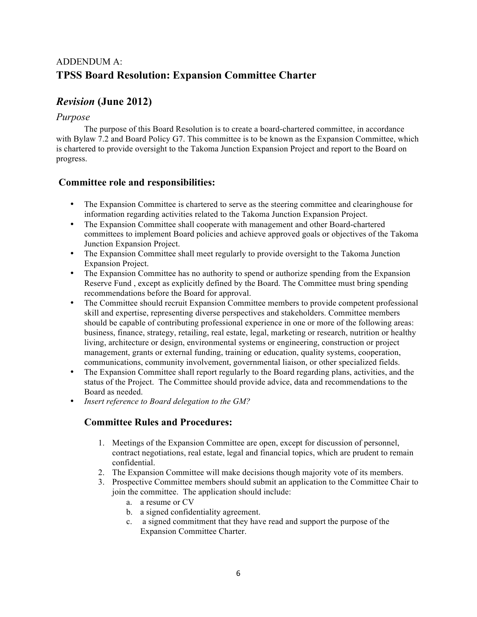# ADDENDUM A: **TPSS Board Resolution: Expansion Committee Charter**

# *Revision* **(June 2012)**

### *Purpose*

The purpose of this Board Resolution is to create a board-chartered committee, in accordance with Bylaw 7.2 and Board Policy G7. This committee is to be known as the Expansion Committee, which is chartered to provide oversight to the Takoma Junction Expansion Project and report to the Board on progress.

# **Committee role and responsibilities:**

- The Expansion Committee is chartered to serve as the steering committee and clearinghouse for information regarding activities related to the Takoma Junction Expansion Project.
- The Expansion Committee shall cooperate with management and other Board-chartered committees to implement Board policies and achieve approved goals or objectives of the Takoma Junction Expansion Project.
- The Expansion Committee shall meet regularly to provide oversight to the Takoma Junction Expansion Project.
- The Expansion Committee has no authority to spend or authorize spending from the Expansion Reserve Fund , except as explicitly defined by the Board. The Committee must bring spending recommendations before the Board for approval.
- The Committee should recruit Expansion Committee members to provide competent professional skill and expertise, representing diverse perspectives and stakeholders. Committee members should be capable of contributing professional experience in one or more of the following areas: business, finance, strategy, retailing, real estate, legal, marketing or research, nutrition or healthy living, architecture or design, environmental systems or engineering, construction or project management, grants or external funding, training or education, quality systems, cooperation, communications, community involvement, governmental liaison, or other specialized fields.
- The Expansion Committee shall report regularly to the Board regarding plans, activities, and the status of the Project. The Committee should provide advice, data and recommendations to the Board as needed.
- *Insert reference to Board delegation to the GM?*

# **Committee Rules and Procedures:**

- 1. Meetings of the Expansion Committee are open, except for discussion of personnel, contract negotiations, real estate, legal and financial topics, which are prudent to remain confidential.
- 2. The Expansion Committee will make decisions though majority vote of its members.
- 3. Prospective Committee members should submit an application to the Committee Chair to join the committee. The application should include:
	- a. a resume or CV
	- b. a signed confidentiality agreement.
	- c. a signed commitment that they have read and support the purpose of the Expansion Committee Charter.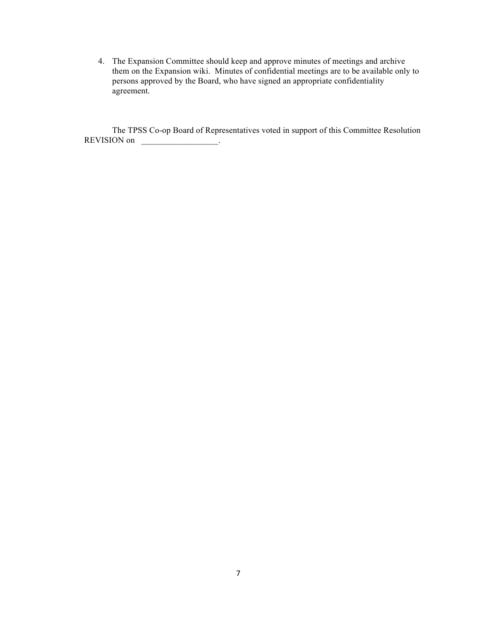4. The Expansion Committee should keep and approve minutes of meetings and archive them on the Expansion wiki. Minutes of confidential meetings are to be available only to persons approved by the Board, who have signed an appropriate confidentiality agreement.

The TPSS Co-op Board of Representatives voted in support of this Committee Resolution REVISION on \_\_\_\_\_\_\_\_\_\_\_\_\_\_\_\_\_\_\_\_.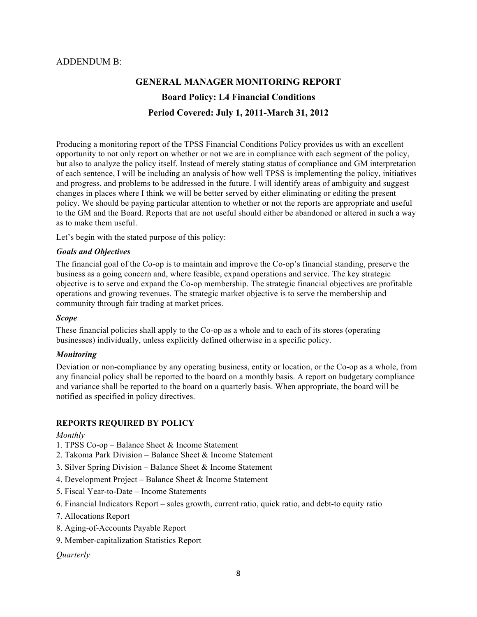#### ADDENDUM B:

# **GENERAL MANAGER MONITORING REPORT Board Policy: L4 Financial Conditions Period Covered: July 1, 2011-March 31, 2012**

Producing a monitoring report of the TPSS Financial Conditions Policy provides us with an excellent opportunity to not only report on whether or not we are in compliance with each segment of the policy, but also to analyze the policy itself. Instead of merely stating status of compliance and GM interpretation of each sentence, I will be including an analysis of how well TPSS is implementing the policy, initiatives and progress, and problems to be addressed in the future. I will identify areas of ambiguity and suggest changes in places where I think we will be better served by either eliminating or editing the present policy. We should be paying particular attention to whether or not the reports are appropriate and useful to the GM and the Board. Reports that are not useful should either be abandoned or altered in such a way as to make them useful.

Let's begin with the stated purpose of this policy:

#### *Goals and Objectives*

The financial goal of the Co-op is to maintain and improve the Co-op's financial standing, preserve the business as a going concern and, where feasible, expand operations and service. The key strategic objective is to serve and expand the Co-op membership. The strategic financial objectives are profitable operations and growing revenues. The strategic market objective is to serve the membership and community through fair trading at market prices.

#### *Scope*

These financial policies shall apply to the Co-op as a whole and to each of its stores (operating businesses) individually, unless explicitly defined otherwise in a specific policy.

#### *Monitoring*

Deviation or non-compliance by any operating business, entity or location, or the Co-op as a whole, from any financial policy shall be reported to the board on a monthly basis. A report on budgetary compliance and variance shall be reported to the board on a quarterly basis. When appropriate, the board will be notified as specified in policy directives.

#### **REPORTS REQUIRED BY POLICY**

#### *Monthly*

- 1. TPSS Co-op Balance Sheet & Income Statement
- 2. Takoma Park Division Balance Sheet & Income Statement
- 3. Silver Spring Division Balance Sheet & Income Statement
- 4. Development Project Balance Sheet & Income Statement
- 5. Fiscal Year-to-Date Income Statements
- 6. Financial Indicators Report sales growth, current ratio, quick ratio, and debt-to equity ratio
- 7. Allocations Report
- 8. Aging-of-Accounts Payable Report
- 9. Member-capitalization Statistics Report

#### *Quarterly*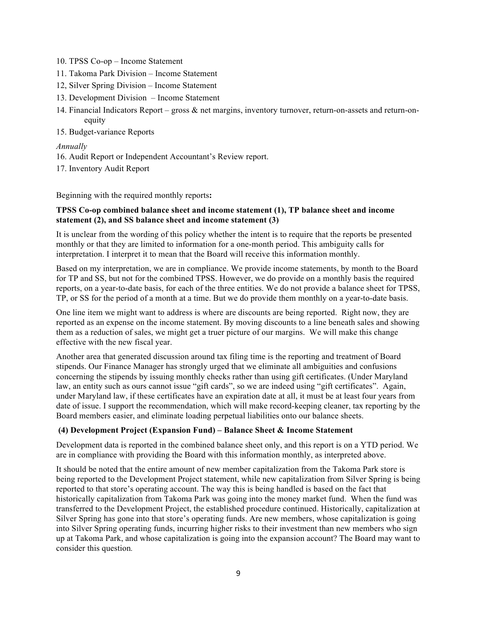- 10. TPSS Co-op Income Statement
- 11. Takoma Park Division Income Statement
- 12, Silver Spring Division Income Statement
- 13. Development Division Income Statement
- 14. Financial Indicators Report gross & net margins, inventory turnover, return-on-assets and return-onequity
- 15. Budget-variance Reports

#### *Annually*

- 16. Audit Report or Independent Accountant's Review report.
- 17. Inventory Audit Report

Beginning with the required monthly reports**:**

#### **TPSS Co-op combined balance sheet and income statement (1), TP balance sheet and income statement (2), and SS balance sheet and income statement (3)**

It is unclear from the wording of this policy whether the intent is to require that the reports be presented monthly or that they are limited to information for a one-month period. This ambiguity calls for interpretation. I interpret it to mean that the Board will receive this information monthly.

Based on my interpretation, we are in compliance. We provide income statements, by month to the Board for TP and SS, but not for the combined TPSS. However, we do provide on a monthly basis the required reports, on a year-to-date basis, for each of the three entities. We do not provide a balance sheet for TPSS, TP, or SS for the period of a month at a time. But we do provide them monthly on a year-to-date basis.

One line item we might want to address is where are discounts are being reported. Right now, they are reported as an expense on the income statement. By moving discounts to a line beneath sales and showing them as a reduction of sales, we might get a truer picture of our margins. We will make this change effective with the new fiscal year.

Another area that generated discussion around tax filing time is the reporting and treatment of Board stipends. Our Finance Manager has strongly urged that we eliminate all ambiguities and confusions concerning the stipends by issuing monthly checks rather than using gift certificates. (Under Maryland law, an entity such as ours cannot issue "gift cards", so we are indeed using "gift certificates". Again, under Maryland law, if these certificates have an expiration date at all, it must be at least four years from date of issue. I support the recommendation, which will make record-keeping cleaner, tax reporting by the Board members easier, and eliminate loading perpetual liabilities onto our balance sheets.

#### **(4) Development Project (Expansion Fund) – Balance Sheet & Income Statement**

Development data is reported in the combined balance sheet only, and this report is on a YTD period. We are in compliance with providing the Board with this information monthly, as interpreted above.

It should be noted that the entire amount of new member capitalization from the Takoma Park store is being reported to the Development Project statement, while new capitalization from Silver Spring is being reported to that store's operating account. The way this is being handled is based on the fact that historically capitalization from Takoma Park was going into the money market fund. When the fund was transferred to the Development Project, the established procedure continued. Historically, capitalization at Silver Spring has gone into that store's operating funds. Are new members, whose capitalization is going into Silver Spring operating funds, incurring higher risks to their investment than new members who sign up at Takoma Park, and whose capitalization is going into the expansion account? The Board may want to consider this question*.*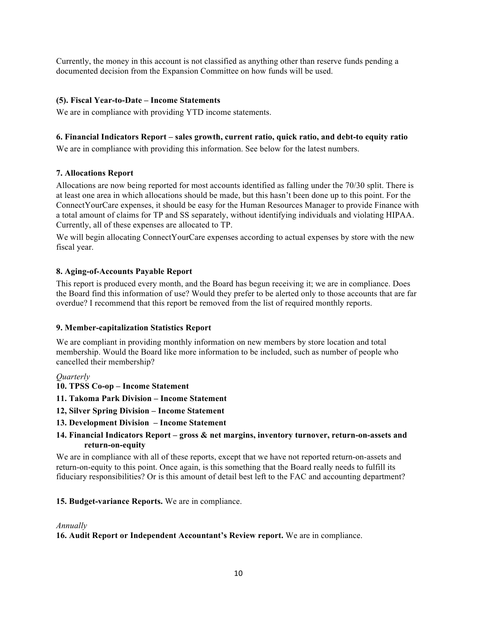Currently, the money in this account is not classified as anything other than reserve funds pending a documented decision from the Expansion Committee on how funds will be used.

#### **(5). Fiscal Year-to-Date – Income Statements**

We are in compliance with providing YTD income statements.

#### **6. Financial Indicators Report – sales growth, current ratio, quick ratio, and debt-to equity ratio**

We are in compliance with providing this information. See below for the latest numbers.

#### **7. Allocations Report**

Allocations are now being reported for most accounts identified as falling under the 70/30 split. There is at least one area in which allocations should be made, but this hasn't been done up to this point. For the ConnectYourCare expenses, it should be easy for the Human Resources Manager to provide Finance with a total amount of claims for TP and SS separately, without identifying individuals and violating HIPAA. Currently, all of these expenses are allocated to TP.

We will begin allocating ConnectYourCare expenses according to actual expenses by store with the new fiscal year.

#### **8. Aging-of-Accounts Payable Report**

This report is produced every month, and the Board has begun receiving it; we are in compliance. Does the Board find this information of use? Would they prefer to be alerted only to those accounts that are far overdue? I recommend that this report be removed from the list of required monthly reports.

#### **9. Member-capitalization Statistics Report**

We are compliant in providing monthly information on new members by store location and total membership. Would the Board like more information to be included, such as number of people who cancelled their membership?

#### *Quarterly*

- **10. TPSS Co-op Income Statement**
- **11. Takoma Park Division Income Statement**
- **12, Silver Spring Division Income Statement**
- **13. Development Division Income Statement**
- **14. Financial Indicators Report – gross & net margins, inventory turnover, return-on-assets and return-on-equity**

We are in compliance with all of these reports, except that we have not reported return-on-assets and return-on-equity to this point. Once again, is this something that the Board really needs to fulfill its fiduciary responsibilities? Or is this amount of detail best left to the FAC and accounting department?

#### **15. Budget-variance Reports.** We are in compliance.

#### *Annually*

**16. Audit Report or Independent Accountant's Review report.** We are in compliance.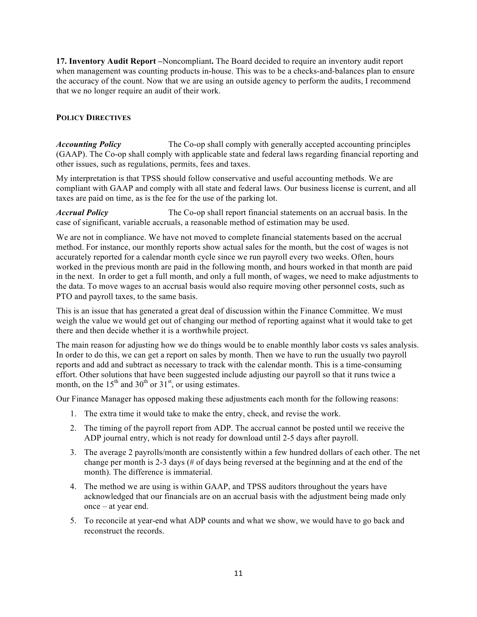**17. Inventory Audit Report –**Noncompliant**.** The Board decided to require an inventory audit report when management was counting products in-house. This was to be a checks-and-balances plan to ensure the accuracy of the count. Now that we are using an outside agency to perform the audits, I recommend that we no longer require an audit of their work.

#### **POLICY DIRECTIVES**

*Accounting Policy* The Co-op shall comply with generally accepted accounting principles (GAAP). The Co-op shall comply with applicable state and federal laws regarding financial reporting and other issues, such as regulations, permits, fees and taxes.

My interpretation is that TPSS should follow conservative and useful accounting methods. We are compliant with GAAP and comply with all state and federal laws. Our business license is current, and all taxes are paid on time, as is the fee for the use of the parking lot.

*Accrual Policy* The Co-op shall report financial statements on an accrual basis. In the case of significant, variable accruals, a reasonable method of estimation may be used.

We are not in compliance. We have not moved to complete financial statements based on the accrual method. For instance, our monthly reports show actual sales for the month, but the cost of wages is not accurately reported for a calendar month cycle since we run payroll every two weeks. Often, hours worked in the previous month are paid in the following month, and hours worked in that month are paid in the next. In order to get a full month, and only a full month, of wages, we need to make adjustments to the data. To move wages to an accrual basis would also require moving other personnel costs, such as PTO and payroll taxes, to the same basis.

This is an issue that has generated a great deal of discussion within the Finance Committee. We must weigh the value we would get out of changing our method of reporting against what it would take to get there and then decide whether it is a worthwhile project.

The main reason for adjusting how we do things would be to enable monthly labor costs vs sales analysis. In order to do this, we can get a report on sales by month. Then we have to run the usually two payroll reports and add and subtract as necessary to track with the calendar month. This is a time-consuming effort. Other solutions that have been suggested include adjusting our payroll so that it runs twice a month, on the  $15<sup>th</sup>$  and  $30<sup>th</sup>$  or  $31<sup>st</sup>$ , or using estimates.

Our Finance Manager has opposed making these adjustments each month for the following reasons:

- 1. The extra time it would take to make the entry, check, and revise the work.
- 2. The timing of the payroll report from ADP. The accrual cannot be posted until we receive the ADP journal entry, which is not ready for download until 2-5 days after payroll.
- 3. The average 2 payrolls/month are consistently within a few hundred dollars of each other. The net change per month is 2-3 days (# of days being reversed at the beginning and at the end of the month). The difference is immaterial.
- 4. The method we are using is within GAAP, and TPSS auditors throughout the years have acknowledged that our financials are on an accrual basis with the adjustment being made only once – at year end.
- 5. To reconcile at year-end what ADP counts and what we show, we would have to go back and reconstruct the records.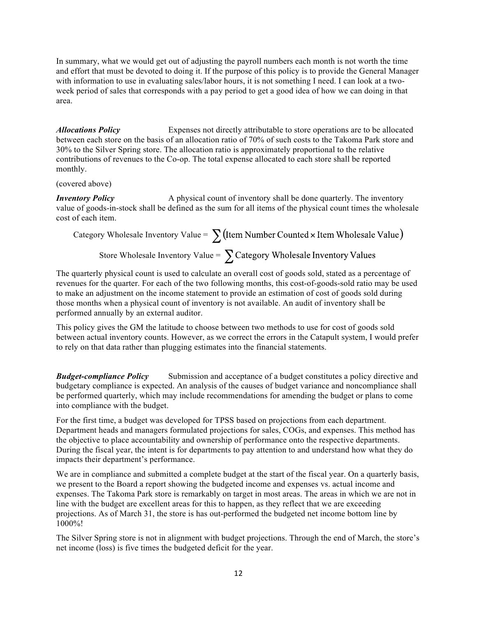In summary, what we would get out of adjusting the payroll numbers each month is not worth the time and effort that must be devoted to doing it. If the purpose of this policy is to provide the General Manager with information to use in evaluating sales/labor hours, it is not something I need. I can look at a twoweek period of sales that corresponds with a pay period to get a good idea of how we can doing in that area.

*Allocations Policy* Expenses not directly attributable to store operations are to be allocated between each store on the basis of an allocation ratio of 70% of such costs to the Takoma Park store and 30% to the Silver Spring store. The allocation ratio is approximately proportional to the relative contributions of revenues to the Co-op. The total expense allocated to each store shall be reported monthly.

(covered above)

*Inventory Policy* A physical count of inventory shall be done quarterly. The inventory value of goods-in-stock shall be defined as the sum for all items of the physical count times the wholesale cost of each item.

Category Wholesale Inventory Value =  $\sum$  (Item Number Counted × Item Wholesale Value)

Store Wholesale Inventory Value =  $\sum$  Category Wholesale Inventory Values

The quarterly physical count is used to calculate an overall cost of goods sold, stated as a percentage of revenues for the quarter. For each of the two following months, this cost-of-goods-sold ratio may be used to make an adjustment on the income statement to provide an estimation of cost of goods sold during those months when a physical count of inventory is not available. An audit of inventory shall be performed annually by an external auditor.

This policy gives the GM the latitude to choose between two methods to use for cost of goods sold between actual inventory counts. However, as we correct the errors in the Catapult system, I would prefer to rely on that data rather than plugging estimates into the financial statements.

*Budget-compliance Policy* Submission and acceptance of a budget constitutes a policy directive and budgetary compliance is expected. An analysis of the causes of budget variance and noncompliance shall be performed quarterly, which may include recommendations for amending the budget or plans to come into compliance with the budget.

For the first time, a budget was developed for TPSS based on projections from each department. Department heads and managers formulated projections for sales, COGs, and expenses. This method has the objective to place accountability and ownership of performance onto the respective departments. During the fiscal year, the intent is for departments to pay attention to and understand how what they do impacts their department's performance.

We are in compliance and submitted a complete budget at the start of the fiscal year. On a quarterly basis, we present to the Board a report showing the budgeted income and expenses vs. actual income and expenses. The Takoma Park store is remarkably on target in most areas. The areas in which we are not in line with the budget are excellent areas for this to happen, as they reflect that we are exceeding projections. As of March 31, the store is has out-performed the budgeted net income bottom line by 1000%!

The Silver Spring store is not in alignment with budget projections. Through the end of March, the store's net income (loss) is five times the budgeted deficit for the year.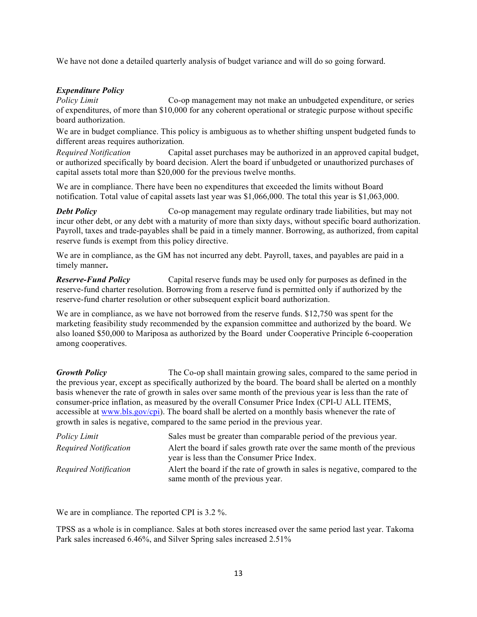We have not done a detailed quarterly analysis of budget variance and will do so going forward.

#### *Expenditure Policy*

*Policy Limit* Co-op management may not make an unbudgeted expenditure, or series of expenditures, of more than \$10,000 for any coherent operational or strategic purpose without specific board authorization.

We are in budget compliance. This policy is ambiguous as to whether shifting unspent budgeted funds to different areas requires authorization*.*

*Required Notification* Capital asset purchases may be authorized in an approved capital budget, or authorized specifically by board decision. Alert the board if unbudgeted or unauthorized purchases of capital assets total more than \$20,000 for the previous twelve months.

We are in compliance. There have been no expenditures that exceeded the limits without Board notification. Total value of capital assets last year was \$1,066,000. The total this year is \$1,063,000.

*Debt Policy* Co-op management may regulate ordinary trade liabilities, but may not incur other debt, or any debt with a maturity of more than sixty days, without specific board authorization. Payroll, taxes and trade-payables shall be paid in a timely manner. Borrowing, as authorized, from capital reserve funds is exempt from this policy directive.

We are in compliance, as the GM has not incurred any debt. Payroll, taxes, and payables are paid in a timely manner**.** 

*Reserve-Fund Policy* Capital reserve funds may be used only for purposes as defined in the reserve-fund charter resolution. Borrowing from a reserve fund is permitted only if authorized by the reserve-fund charter resolution or other subsequent explicit board authorization.

We are in compliance, as we have not borrowed from the reserve funds. \$12,750 was spent for the marketing feasibility study recommended by the expansion committee and authorized by the board. We also loaned \$50,000 to Mariposa as authorized by the Board under Cooperative Principle 6-cooperation among cooperatives.

**Growth Policy** The Co-op shall maintain growing sales, compared to the same period in the previous year, except as specifically authorized by the board. The board shall be alerted on a monthly basis whenever the rate of growth in sales over same month of the previous year is less than the rate of consumer-price inflation, as measured by the overall Consumer Price Index (CPI-U ALL ITEMS, accessible at www.bls.gov/cpi). The board shall be alerted on a monthly basis whenever the rate of growth in sales is negative, compared to the same period in the previous year.

| Policy Limit          | Sales must be greater than comparable period of the previous year.           |
|-----------------------|------------------------------------------------------------------------------|
| Required Notification | A lert the board if sales growth rate over the same month of the previous    |
|                       | year is less than the Consumer Price Index.                                  |
| Required Notification | A lert the board if the rate of growth in sales is negative, compared to the |
|                       | same month of the previous year.                                             |

We are in compliance. The reported CPI is 3.2 %.

TPSS as a whole is in compliance. Sales at both stores increased over the same period last year. Takoma Park sales increased 6.46%, and Silver Spring sales increased 2.51%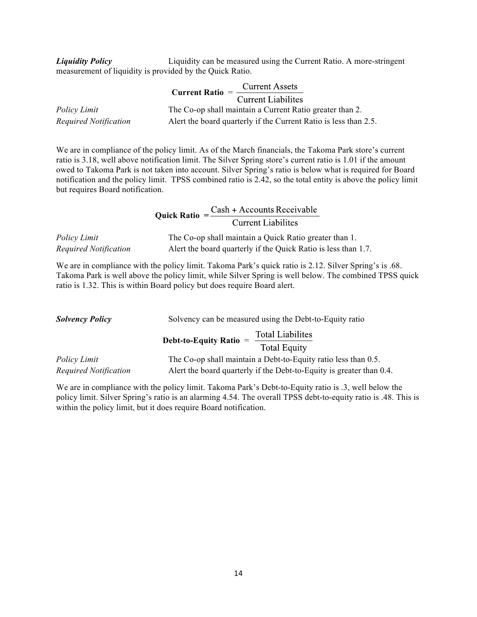*Liquidity Policy* Liquidity can be measured using the Current Ratio. A more-stringent measurement of liquidity is provided by the Quick Ratio.

|                       | <b>Current Assets</b><br>$Current Ratio =$                        |
|-----------------------|-------------------------------------------------------------------|
|                       | Current Liabilites                                                |
| Policy Limit          | The Co-op shall maintain a Current Ratio greater than 2.          |
| Required Notification | A lert the board quarterly if the Current Ratio is less than 2.5. |

We are in compliance of the policy limit. As of the March financials, the Takoma Park store's current ratio is 3.18, well above notification limit. The Silver Spring store's current ratio is 1.01 if the amount owed to Takoma Park is not taken into account. Silver Spring's ratio is below what is required for Board notification and the policy limit. TPSS combined ratio is 2.42, so the total entity is above the policy limit but requires Board notification.

**Quick Ratio** =  $\frac{\text{Cash} + \text{Accounts Receiverable}}{\text{Current Liabilities}}$ *Policy Limit* The Co-op shall maintain a Quick Ratio greater than 1. *Required Notification* Alert the board quarterly if the Quick Ratio is less than 1.7.

We are in compliance with the policy limit. Takoma Park's quick ratio is 2.12. Silver Spring's is .68. Takoma Park is well above the policy limit, while Silver Spring is well below. The combined TPSS quick ratio is 1.32. This is within Board policy but does require Board alert.

| <b>Solvency Policy</b> | Solvency can be measured using the Debt-to-Equity ratio                    |  |  |  |  |
|------------------------|----------------------------------------------------------------------------|--|--|--|--|
|                        | <b>Total Liabilites</b><br>Debt-to-Equity Ratio $=$<br><b>Total Equity</b> |  |  |  |  |
| <i>Policy Limit</i>    | The Co-op shall maintain a Debt-to-Equity ratio less than 0.5.             |  |  |  |  |
| Required Notification  | A lert the board quarterly if the Debt-to-Equity is greater than 0.4.      |  |  |  |  |

We are in compliance with the policy limit. Takoma Park's Debt-to-Equity ratio is .3, well below the policy limit. Silver Spring's ratio is an alarming 4.54. The overall TPSS debt-to-equity ratio is .48. This is within the policy limit, but it does require Board notification.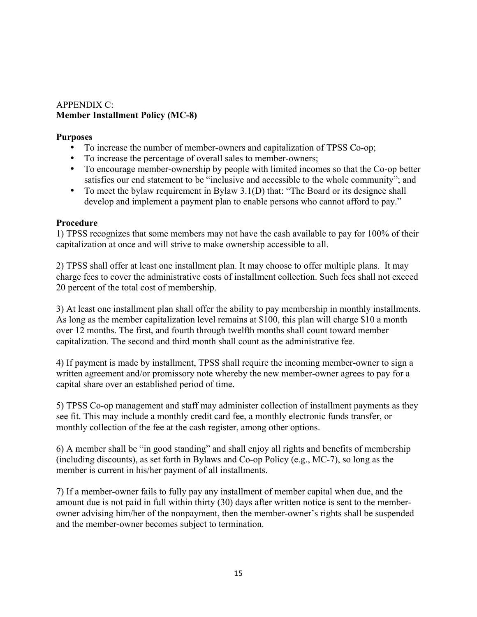### APPENDIX C: **Member Installment Policy (MC-8)**

### **Purposes**

- To increase the number of member-owners and capitalization of TPSS Co-op;
- To increase the percentage of overall sales to member-owners;
- To encourage member-ownership by people with limited incomes so that the Co-op better satisfies our end statement to be "inclusive and accessible to the whole community"; and
- To meet the bylaw requirement in Bylaw 3.1(D) that: "The Board or its designee shall develop and implement a payment plan to enable persons who cannot afford to pay."

## **Procedure**

1) TPSS recognizes that some members may not have the cash available to pay for 100% of their capitalization at once and will strive to make ownership accessible to all.

2) TPSS shall offer at least one installment plan. It may choose to offer multiple plans. It may charge fees to cover the administrative costs of installment collection. Such fees shall not exceed 20 percent of the total cost of membership.

3) At least one installment plan shall offer the ability to pay membership in monthly installments. As long as the member capitalization level remains at \$100, this plan will charge \$10 a month over 12 months. The first, and fourth through twelfth months shall count toward member capitalization. The second and third month shall count as the administrative fee.

4) If payment is made by installment, TPSS shall require the incoming member-owner to sign a written agreement and/or promissory note whereby the new member-owner agrees to pay for a capital share over an established period of time.

5) TPSS Co-op management and staff may administer collection of installment payments as they see fit. This may include a monthly credit card fee, a monthly electronic funds transfer, or monthly collection of the fee at the cash register, among other options.

6) A member shall be "in good standing" and shall enjoy all rights and benefits of membership (including discounts), as set forth in Bylaws and Co-op Policy (e.g., MC-7), so long as the member is current in his/her payment of all installments.

7) If a member-owner fails to fully pay any installment of member capital when due, and the amount due is not paid in full within thirty (30) days after written notice is sent to the memberowner advising him/her of the nonpayment, then the member-owner's rights shall be suspended and the member-owner becomes subject to termination.